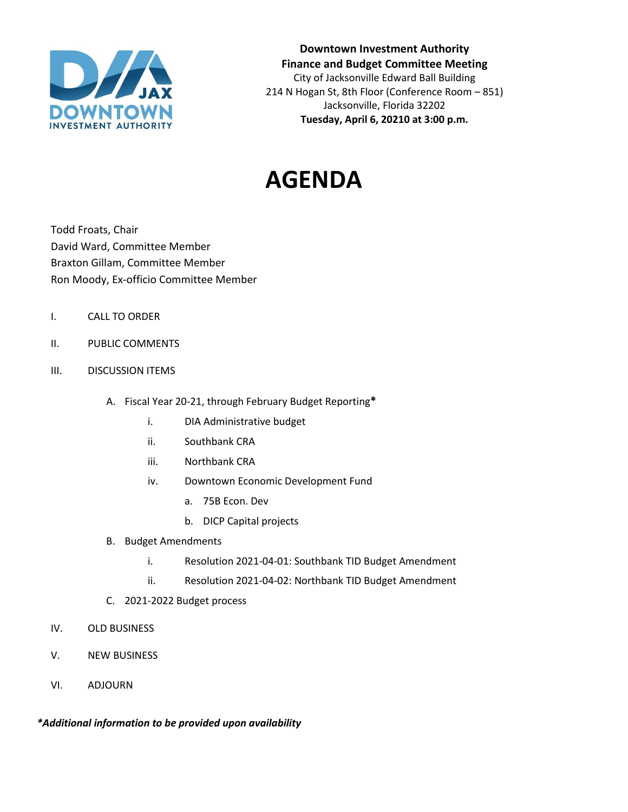

**Downtown Investment Authority Finance and Budget Committee Meeting** City of Jacksonville Edward Ball Building 214 N Hogan St, 8th Floor (Conference Room – 851) Jacksonville, Florida 32202 **Tuesday, April 6, 20210 at 3:00 p.m.** 

## **AGENDA**

Todd Froats, Chair David Ward, Committee Member Braxton Gillam, Committee Member Ron Moody, Ex-officio Committee Member

- I. CALL TO ORDER
- II. PUBLIC COMMENTS
- III. DISCUSSION ITEMS
	- A. Fiscal Year 20-21, through February Budget Reporting**\***
		- i. DIA Administrative budget
		- ii. Southbank CRA
		- iii. Northbank CRA
		- iv. Downtown Economic Development Fund
			- a. 75B Econ. Dev
			- b. DICP Capital projects
	- B. Budget Amendments
		- i. Resolution 2021-04-01: Southbank TID Budget Amendment
		- ii. Resolution 2021-04-02: Northbank TID Budget Amendment
	- C. 2021-2022 Budget process
- IV. OLD BUSINESS
- V. NEW BUSINESS
- VI. ADJOURN

*\*Additional information to be provided upon availability*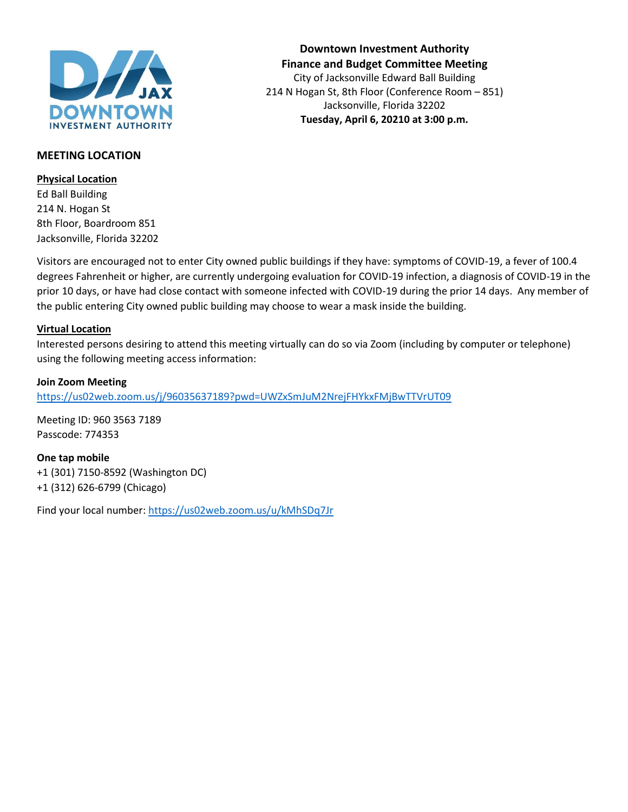

#### **Downtown Investment Authority Finance and Budget Committee Meeting** City of Jacksonville Edward Ball Building 214 N Hogan St, 8th Floor (Conference Room – 851) Jacksonville, Florida 32202 **Tuesday, April 6, 20210 at 3:00 p.m.**

#### **MEETING LOCATION**

#### **Physical Location**

Ed Ball Building 214 N. Hogan St 8th Floor, Boardroom 851 Jacksonville, Florida 32202

Visitors are encouraged not to enter City owned public buildings if they have: symptoms of COVID-19, a fever of 100.4 degrees Fahrenheit or higher, are currently undergoing evaluation for COVID-19 infection, a diagnosis of COVID-19 in the prior 10 days, or have had close contact with someone infected with COVID-19 during the prior 14 days. Any member of the public entering City owned public building may choose to wear a mask inside the building.

#### **Virtual Location**

Interested persons desiring to attend this meeting virtually can do so via Zoom (including by computer or telephone) using the following meeting access information:

#### **Join Zoom Meeting**

<https://us02web.zoom.us/j/96035637189?pwd=UWZxSmJuM2NrejFHYkxFMjBwTTVrUT09>

Meeting ID: 960 3563 7189 Passcode: 774353

**One tap mobile** +1 (301) 7150-8592 (Washington DC) +1 (312) 626-6799 (Chicago)

Find your local number[: https://us02web.zoom.us/u/kMhSDq7Jr](https://us02web.zoom.us/u/kMhSDq7Jr)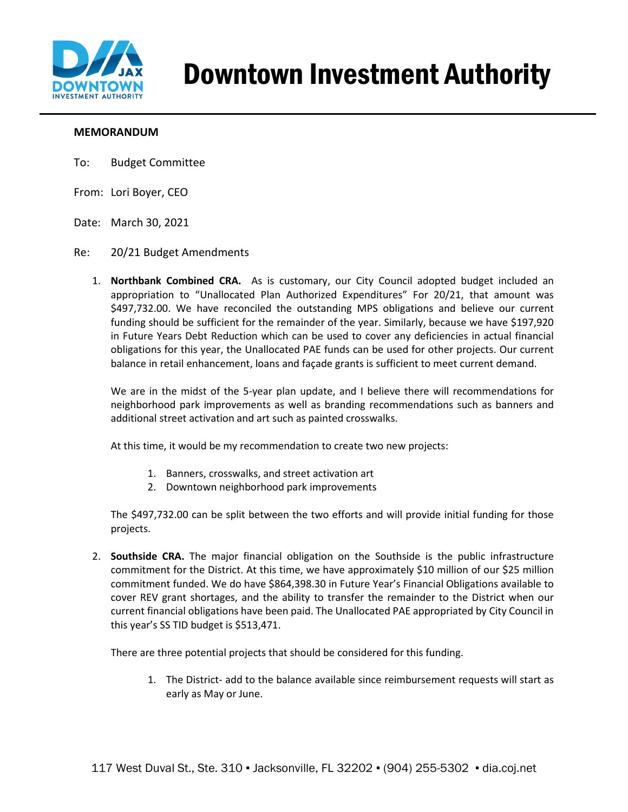

# Downtown Investment Authority

#### **MEMORANDUM**

- To: Budget Committee
- From: Lori Boyer, CEO
- Date: March 30, 2021

#### Re: 20/21 Budget Amendments

1. **Northbank Combined CRA.** As is customary, our City Council adopted budget included an appropriation to "Unallocated Plan Authorized Expenditures" For 20/21, that amount was \$497,732.00. We have reconciled the outstanding MPS obligations and believe our current funding should be sufficient for the remainder of the year. Similarly, because we have \$197,920 in Future Years Debt Reduction which can be used to cover any deficiencies in actual financial obligations for this year, the Unallocated PAE funds can be used for other projects. Our current balance in retail enhancement, loans and façade grants is sufficient to meet current demand.

We are in the midst of the 5-year plan update, and I believe there will recommendations for neighborhood park improvements as well as branding recommendations such as banners and additional street activation and art such as painted crosswalks.

At this time, it would be my recommendation to create two new projects:

- 1. Banners, crosswalks, and street activation art
- 2. Downtown neighborhood park improvements

The \$497,732.00 can be split between the two efforts and will provide initial funding for those projects.

2. **Southside CRA.** The major financial obligation on the Southside is the public infrastructure commitment for the District. At this time, we have approximately \$10 million of our \$25 million commitment funded. We do have \$864,398.30 in Future Year's Financial Obligations available to cover REV grant shortages, and the ability to transfer the remainder to the District when our current financial obligations have been paid. The Unallocated PAE appropriated by City Council in this year's SS TID budget is \$513,471.

There are three potential projects that should be considered for this funding.

1. The District- add to the balance available since reimbursement requests will start as early as May or June.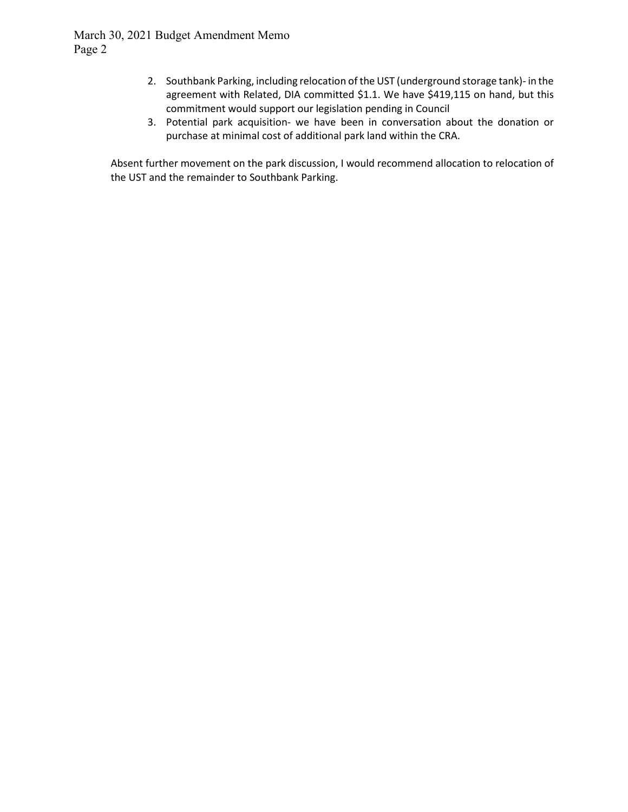- 2. Southbank Parking, including relocation of the UST (underground storage tank)- in the agreement with Related, DIA committed \$1.1. We have \$419,115 on hand, but this commitment would support our legislation pending in Council
- 3. Potential park acquisition- we have been in conversation about the donation or purchase at minimal cost of additional park land within the CRA.

Absent further movement on the park discussion, I would recommend allocation to relocation of the UST and the remainder to Southbank Parking.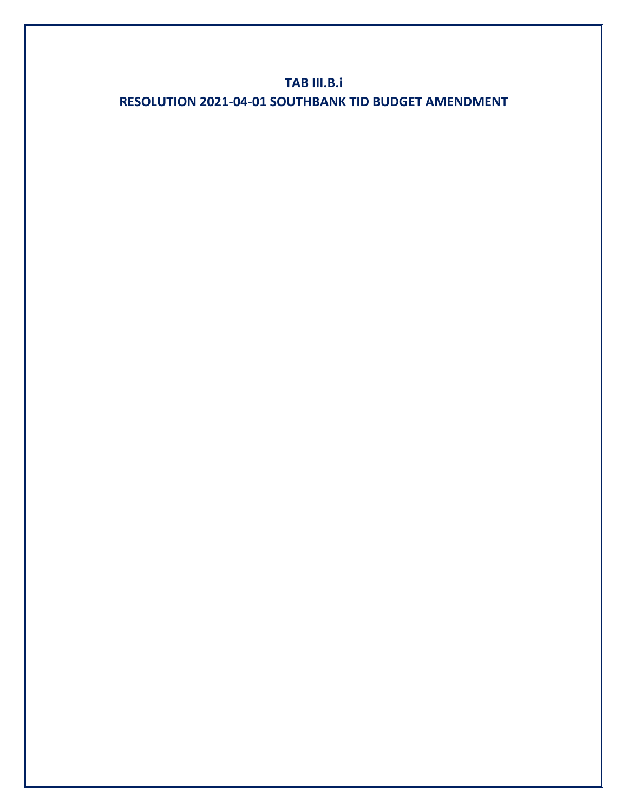## **TAB III.B.i RESOLUTION 2021-04-01 SOUTHBANK TID BUDGET AMENDMENT**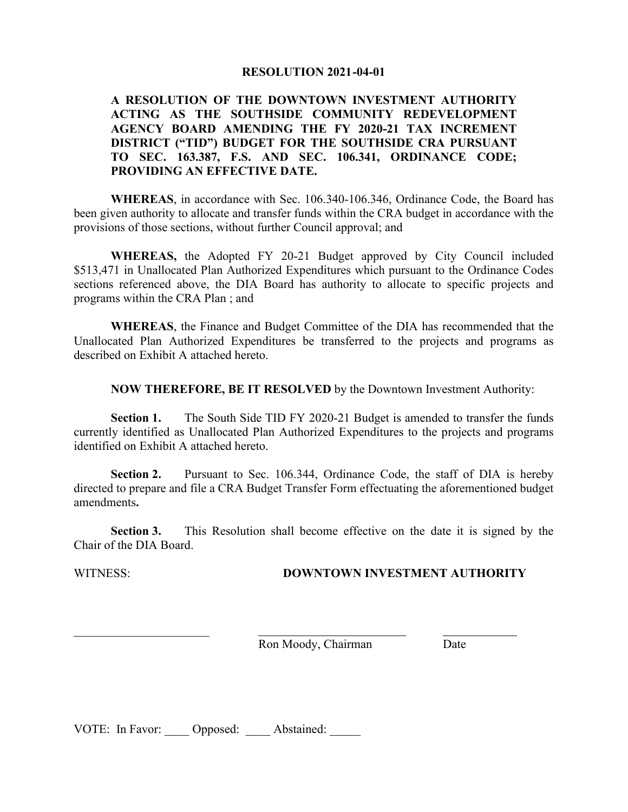#### **RESOLUTION 2021-04-01**

#### **A RESOLUTION OF THE DOWNTOWN INVESTMENT AUTHORITY ACTING AS THE SOUTHSIDE COMMUNITY REDEVELOPMENT AGENCY BOARD AMENDING THE FY 2020-21 TAX INCREMENT DISTRICT ("TID") BUDGET FOR THE SOUTHSIDE CRA PURSUANT TO SEC. 163.387, F.S. AND SEC. 106.341, ORDINANCE CODE; PROVIDING AN EFFECTIVE DATE.**

**WHEREAS**, in accordance with Sec. 106.340-106.346, Ordinance Code, the Board has been given authority to allocate and transfer funds within the CRA budget in accordance with the provisions of those sections, without further Council approval; and

**WHEREAS,** the Adopted FY 20-21 Budget approved by City Council included \$513,471 in Unallocated Plan Authorized Expenditures which pursuant to the Ordinance Codes sections referenced above, the DIA Board has authority to allocate to specific projects and programs within the CRA Plan ; and

**WHEREAS**, the Finance and Budget Committee of the DIA has recommended that the Unallocated Plan Authorized Expenditures be transferred to the projects and programs as described on Exhibit A attached hereto.

**NOW THEREFORE, BE IT RESOLVED** by the Downtown Investment Authority:

**Section 1.** The South Side TID FY 2020-21 Budget is amended to transfer the funds currently identified as Unallocated Plan Authorized Expenditures to the projects and programs identified on Exhibit A attached hereto.

**Section 2.** Pursuant to Sec. 106.344, Ordinance Code, the staff of DIA is hereby directed to prepare and file a CRA Budget Transfer Form effectuating the aforementioned budget amendments**.**

**Section 3.** This Resolution shall become effective on the date it is signed by the Chair of the DIA Board.

\_\_\_\_\_\_\_\_\_\_\_\_\_\_\_\_\_\_\_\_\_\_

#### WITNESS: **DOWNTOWN INVESTMENT AUTHORITY**

Ron Moody, Chairman Date

VOTE: In Favor: Opposed: Abstained: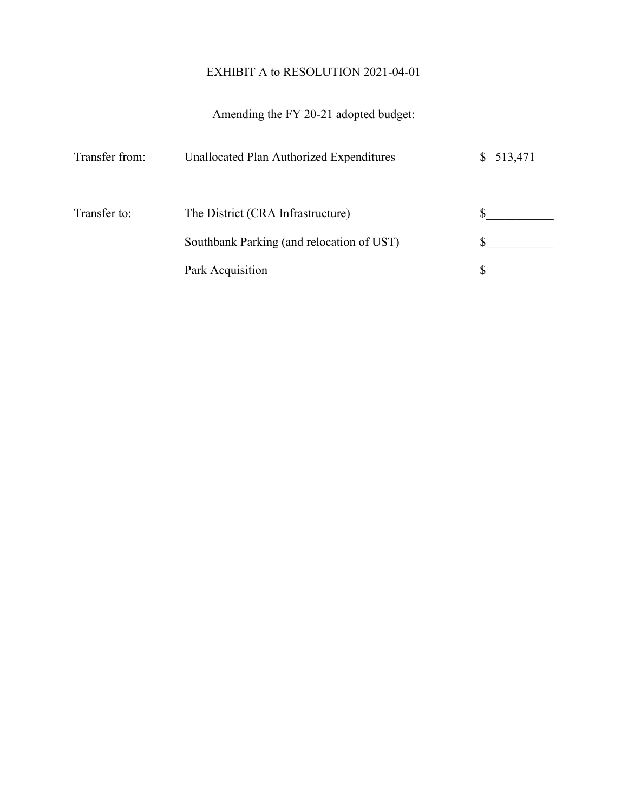## EXHIBIT A to RESOLUTION 2021-04-01

## Amending the FY 20-21 adopted budget:

| Transfer from: | Unallocated Plan Authorized Expenditures  | \$513,471 |
|----------------|-------------------------------------------|-----------|
| Transfer to:   | The District (CRA Infrastructure)         |           |
|                | Southbank Parking (and relocation of UST) |           |
|                | Park Acquisition                          |           |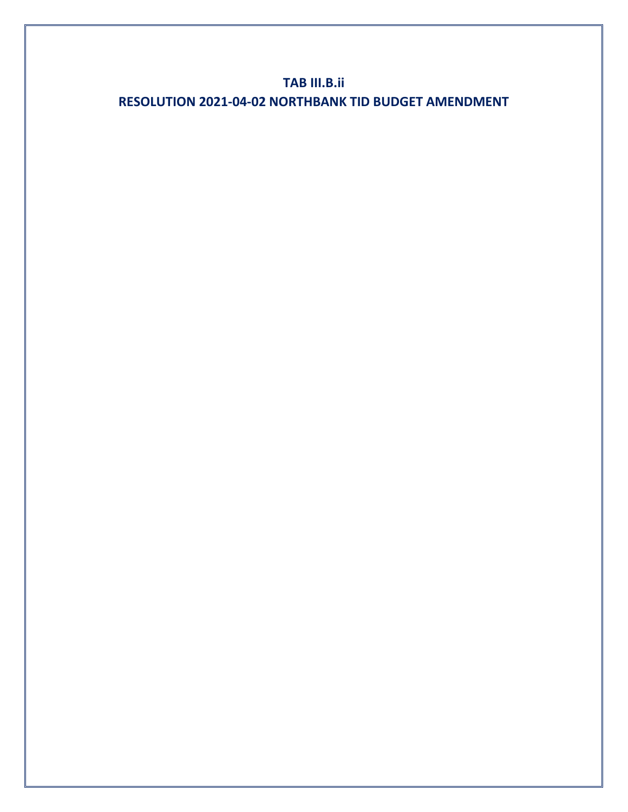## **TAB III.B.ii RESOLUTION 2021-04-02 NORTHBANK TID BUDGET AMENDMENT**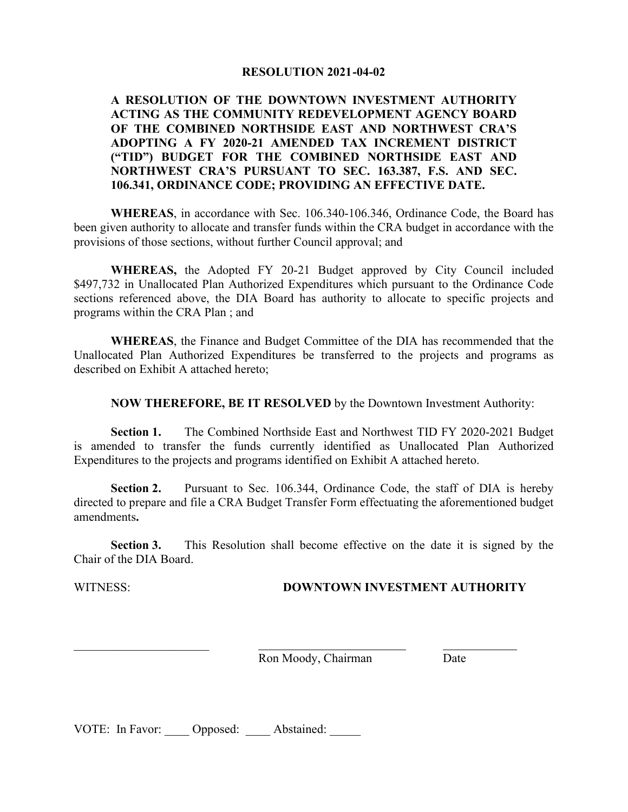#### **RESOLUTION 2021-04-02**

#### **A RESOLUTION OF THE DOWNTOWN INVESTMENT AUTHORITY ACTING AS THE COMMUNITY REDEVELOPMENT AGENCY BOARD OF THE COMBINED NORTHSIDE EAST AND NORTHWEST CRA'S ADOPTING A FY 2020-21 AMENDED TAX INCREMENT DISTRICT ("TID") BUDGET FOR THE COMBINED NORTHSIDE EAST AND NORTHWEST CRA'S PURSUANT TO SEC. 163.387, F.S. AND SEC. 106.341, ORDINANCE CODE; PROVIDING AN EFFECTIVE DATE.**

**WHEREAS**, in accordance with Sec. 106.340-106.346, Ordinance Code, the Board has been given authority to allocate and transfer funds within the CRA budget in accordance with the provisions of those sections, without further Council approval; and

**WHEREAS,** the Adopted FY 20-21 Budget approved by City Council included \$497,732 in Unallocated Plan Authorized Expenditures which pursuant to the Ordinance Code sections referenced above, the DIA Board has authority to allocate to specific projects and programs within the CRA Plan ; and

**WHEREAS**, the Finance and Budget Committee of the DIA has recommended that the Unallocated Plan Authorized Expenditures be transferred to the projects and programs as described on Exhibit A attached hereto;

**NOW THEREFORE, BE IT RESOLVED** by the Downtown Investment Authority:

**Section 1.** The Combined Northside East and Northwest TID FY 2020-2021 Budget is amended to transfer the funds currently identified as Unallocated Plan Authorized Expenditures to the projects and programs identified on Exhibit A attached hereto.

**Section 2.** Pursuant to Sec. 106.344, Ordinance Code, the staff of DIA is hereby directed to prepare and file a CRA Budget Transfer Form effectuating the aforementioned budget amendments**.**

**Section 3.** This Resolution shall become effective on the date it is signed by the Chair of the DIA Board.

\_\_\_\_\_\_\_\_\_\_\_\_\_\_\_\_\_\_\_\_\_\_

#### WITNESS: **DOWNTOWN INVESTMENT AUTHORITY**

Ron Moody, Chairman Date

VOTE: In Favor: Opposed: Abstained: